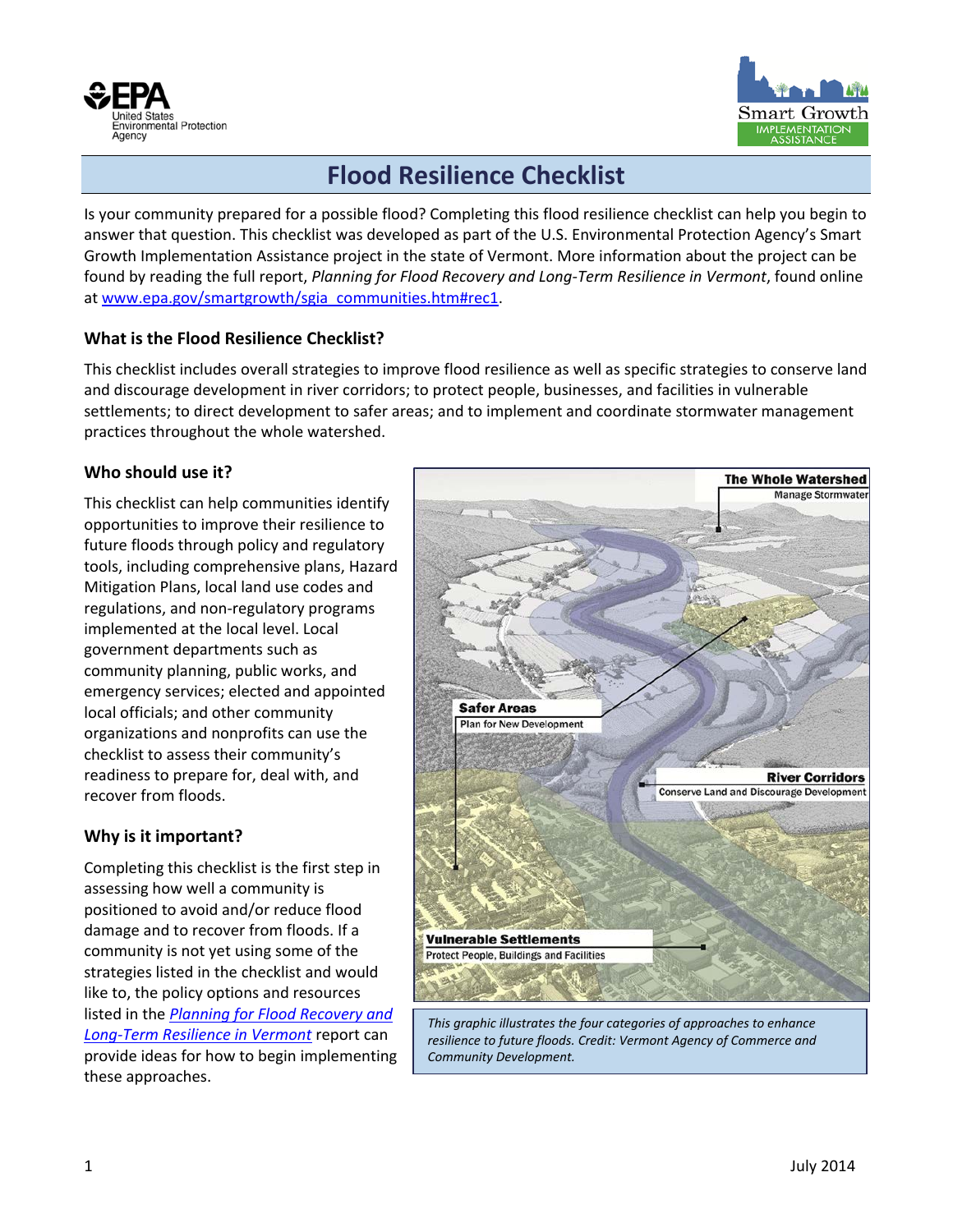



## **Flood Resilience Checklist**

Is your community prepared for a possible flood? Completing this flood resilience checklist can help you begin to answer that question. This checklist was developed as part of the U.S. Environmental Protection Agency's Smart Growth Implementation Assistance project in the state of Vermont. More information about the project can be found by reading the full report, *Planning for Flood Recovery and Long-Term Resilience in Vermont*, found online at [www.epa.gov/smartgrowth/sgia\\_communities.htm#rec1.](http://www.epa.gov/smartgrowth/sgia_communities.htm#rec1)

## **What is the Flood Resilience Checklist?**

This checklist includes overall strategies to improve flood resilience as well as specific strategies to conserve land and discourage development in river corridors; to protect people, businesses, and facilities in vulnerable settlements; to direct development to safer areas; and to implement and coordinate stormwater management practices throughout the whole watershed.

## **Who should use it?**

This checklist can help communities identify opportunities to improve their resilience to future floods through policy and regulatory tools, including comprehensive plans, Hazard Mitigation Plans, local land use codes and regulations, and non-regulatory programs implemented at the local level. Local government departments such as community planning, public works, and emergency services; elected and appointed local officials; and other community organizations and nonprofits can use the checklist to assess their community's readiness to prepare for, deal with, and recover from floods.

## **Why is it important?**

Completing this checklist is the first step in assessing how well a community is positioned to avoid and/or reduce flood damage and to recover from floods. If a community is not yet using some of the strategies listed in the checklist and would like to, the policy options and resources listed in the *[Planning for Flood Recovery and](http://www.epa.gov/smartgrowth/sgia_communities.htm#rec1)  [Long-Term Resilience in Vermont](http://www.epa.gov/smartgrowth/sgia_communities.htm#rec1)* report can provide ideas for how to begin implementing these approaches.



*This graphic illustrates the four categories of approaches to enhance resilience to future floods. Credit: Vermont Agency of Commerce and Community Development.*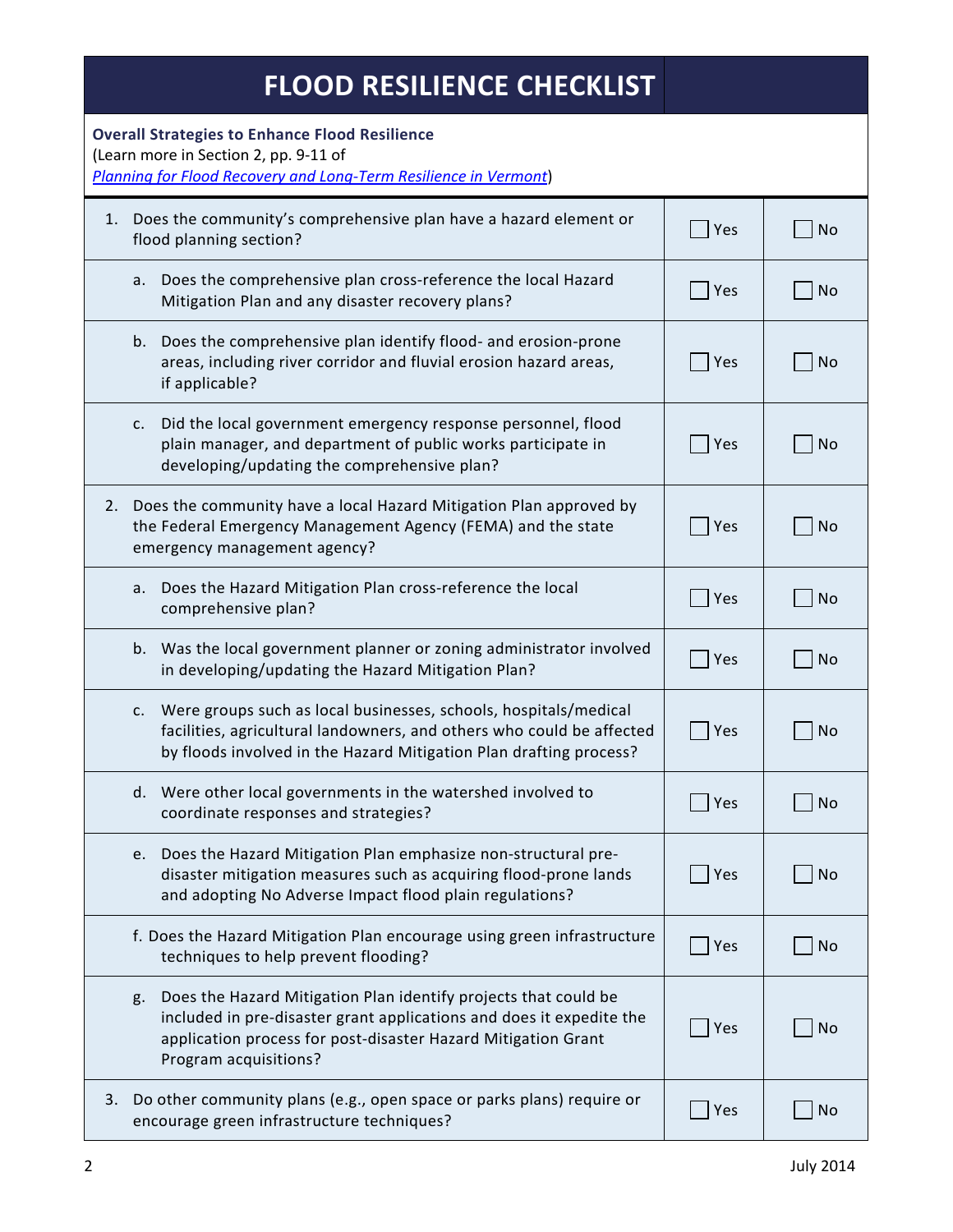| <b>FLOOD RESILIENCE CHECKLIST</b>                                                                                                                                                                                                       |     |           |
|-----------------------------------------------------------------------------------------------------------------------------------------------------------------------------------------------------------------------------------------|-----|-----------|
| <b>Overall Strategies to Enhance Flood Resilience</b><br>(Learn more in Section 2, pp. 9-11 of<br>Planning for Flood Recovery and Long-Term Resilience in Vermont)                                                                      |     |           |
| Does the community's comprehensive plan have a hazard element or<br>1.<br>flood planning section?                                                                                                                                       | Yes | <b>No</b> |
| Does the comprehensive plan cross-reference the local Hazard<br>а.<br>Mitigation Plan and any disaster recovery plans?                                                                                                                  | Yes | <b>No</b> |
| b. Does the comprehensive plan identify flood- and erosion-prone<br>areas, including river corridor and fluvial erosion hazard areas,<br>if applicable?                                                                                 | Yes | <b>No</b> |
| Did the local government emergency response personnel, flood<br>c.<br>plain manager, and department of public works participate in<br>developing/updating the comprehensive plan?                                                       | Yes | <b>No</b> |
| Does the community have a local Hazard Mitigation Plan approved by<br>2.<br>the Federal Emergency Management Agency (FEMA) and the state<br>emergency management agency?                                                                | Yes | <b>No</b> |
| Does the Hazard Mitigation Plan cross-reference the local<br>а.<br>comprehensive plan?                                                                                                                                                  | Yes | <b>No</b> |
| Was the local government planner or zoning administrator involved<br>b.<br>in developing/updating the Hazard Mitigation Plan?                                                                                                           | Yes | <b>No</b> |
| Were groups such as local businesses, schools, hospitals/medical<br>c.<br>facilities, agricultural landowners, and others who could be affected<br>by floods involved in the Hazard Mitigation Plan drafting process?                   | Yes | <b>No</b> |
| d. Were other local governments in the watershed involved to<br>coordinate responses and strategies?                                                                                                                                    | Yes | <b>No</b> |
| e. Does the Hazard Mitigation Plan emphasize non-structural pre-<br>disaster mitigation measures such as acquiring flood-prone lands<br>and adopting No Adverse Impact flood plain regulations?                                         | Yes | <b>No</b> |
| f. Does the Hazard Mitigation Plan encourage using green infrastructure<br>techniques to help prevent flooding?                                                                                                                         | Yes | <b>No</b> |
| Does the Hazard Mitigation Plan identify projects that could be<br>g.<br>included in pre-disaster grant applications and does it expedite the<br>application process for post-disaster Hazard Mitigation Grant<br>Program acquisitions? | Yes | <b>No</b> |
| Do other community plans (e.g., open space or parks plans) require or<br>3.<br>encourage green infrastructure techniques?                                                                                                               | Yes | No        |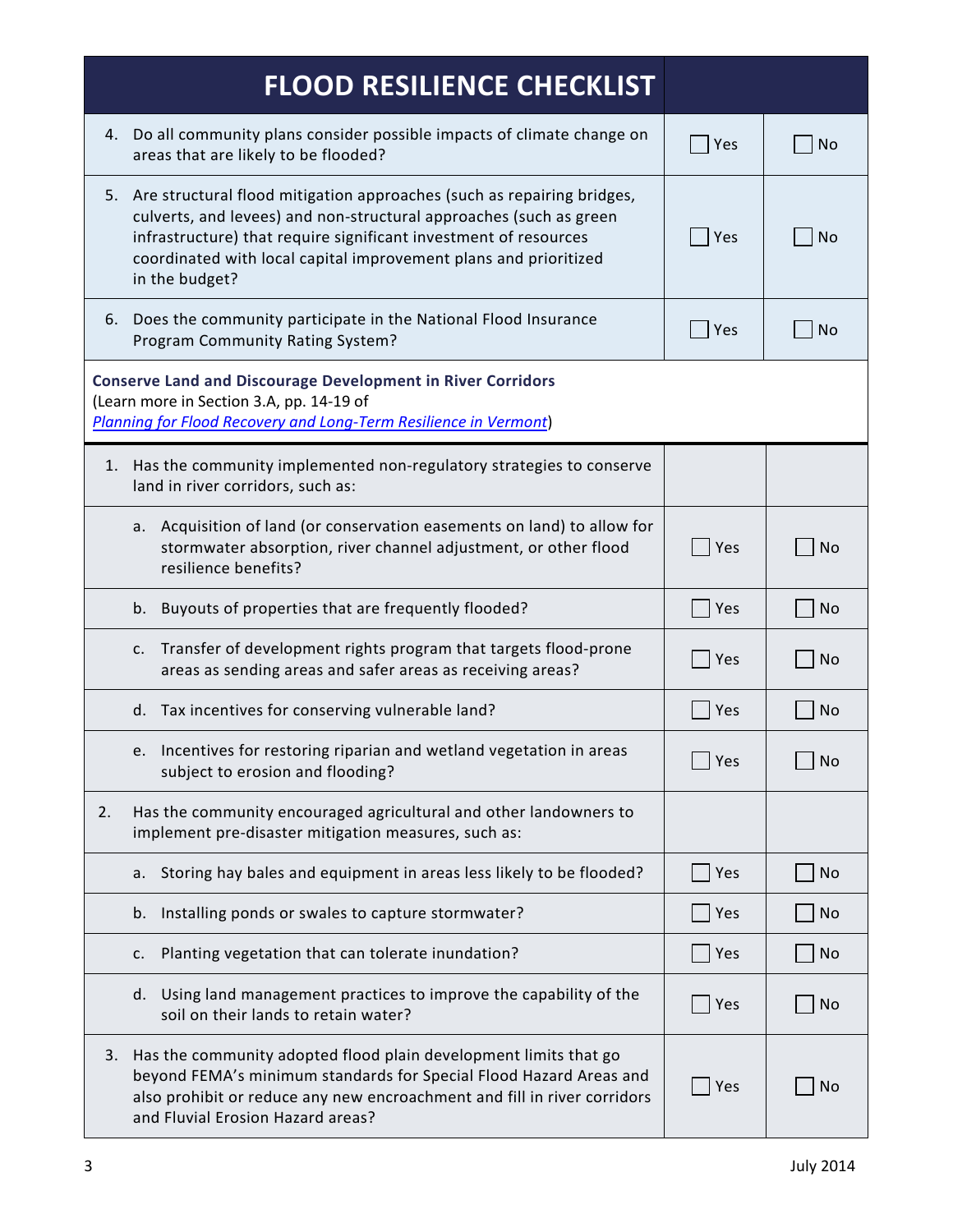| <b>FLOOD RESILIENCE CHECKLIST</b>                                                                                                                                                                                                                                                                         |     |           |  |
|-----------------------------------------------------------------------------------------------------------------------------------------------------------------------------------------------------------------------------------------------------------------------------------------------------------|-----|-----------|--|
| Do all community plans consider possible impacts of climate change on<br>4.<br>areas that are likely to be flooded?                                                                                                                                                                                       | Yes | No        |  |
| 5. Are structural flood mitigation approaches (such as repairing bridges,<br>culverts, and levees) and non-structural approaches (such as green<br>infrastructure) that require significant investment of resources<br>coordinated with local capital improvement plans and prioritized<br>in the budget? | Yes | <b>No</b> |  |
| 6. Does the community participate in the National Flood Insurance<br>Program Community Rating System?                                                                                                                                                                                                     | Yes | <b>No</b> |  |
| <b>Conserve Land and Discourage Development in River Corridors</b><br>(Learn more in Section 3.A, pp. 14-19 of<br><b>Planning for Flood Recovery and Long-Term Resilience in Vermont)</b>                                                                                                                 |     |           |  |
| 1. Has the community implemented non-regulatory strategies to conserve<br>land in river corridors, such as:                                                                                                                                                                                               |     |           |  |
| Acquisition of land (or conservation easements on land) to allow for<br>а.<br>stormwater absorption, river channel adjustment, or other flood<br>resilience benefits?                                                                                                                                     | Yes | <b>No</b> |  |
| Buyouts of properties that are frequently flooded?<br>b.                                                                                                                                                                                                                                                  | Yes | <b>No</b> |  |
| Transfer of development rights program that targets flood-prone<br>c.<br>areas as sending areas and safer areas as receiving areas?                                                                                                                                                                       | Yes | <b>No</b> |  |
| d. Tax incentives for conserving vulnerable land?                                                                                                                                                                                                                                                         | Yes | <b>No</b> |  |
| e. Incentives for restoring riparian and wetland vegetation in areas<br>subject to erosion and flooding?                                                                                                                                                                                                  | Yes | <b>No</b> |  |
| Has the community encouraged agricultural and other landowners to<br>2.<br>implement pre-disaster mitigation measures, such as:                                                                                                                                                                           |     |           |  |
| Storing hay bales and equipment in areas less likely to be flooded?<br>а. –                                                                                                                                                                                                                               | Yes | <b>No</b> |  |
| Installing ponds or swales to capture stormwater?<br>b.                                                                                                                                                                                                                                                   | Yes | <b>No</b> |  |
| Planting vegetation that can tolerate inundation?<br>c.                                                                                                                                                                                                                                                   | Yes | No        |  |
| d. Using land management practices to improve the capability of the<br>soil on their lands to retain water?                                                                                                                                                                                               | Yes | <b>No</b> |  |
| 3. Has the community adopted flood plain development limits that go<br>beyond FEMA's minimum standards for Special Flood Hazard Areas and<br>also prohibit or reduce any new encroachment and fill in river corridors<br>and Fluvial Erosion Hazard areas?                                                | Yes | No        |  |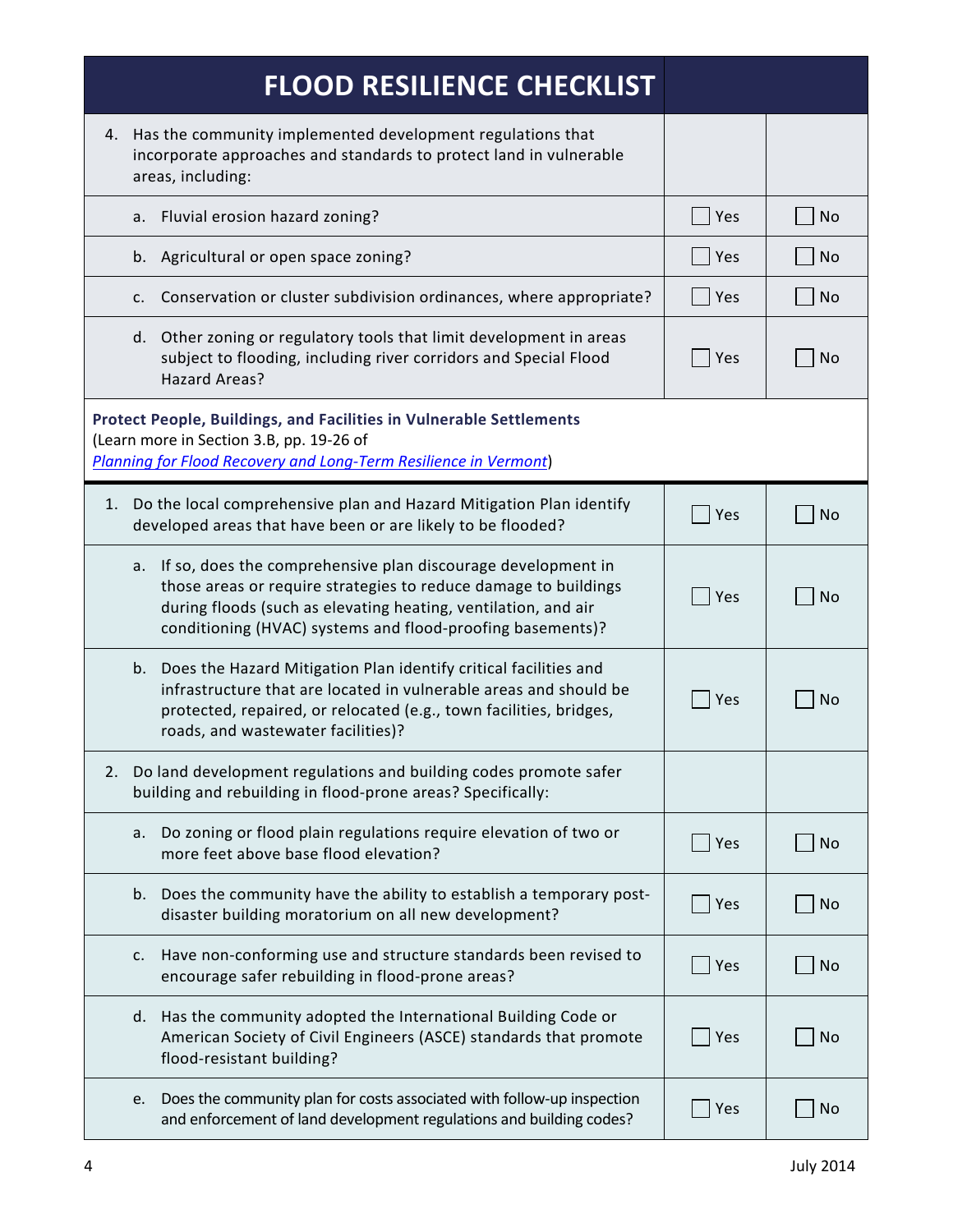| <b>FLOOD RESILIENCE CHECKLIST</b>                                                                                                                                                                                                                                     |     |           |
|-----------------------------------------------------------------------------------------------------------------------------------------------------------------------------------------------------------------------------------------------------------------------|-----|-----------|
| 4. Has the community implemented development regulations that<br>incorporate approaches and standards to protect land in vulnerable<br>areas, including:                                                                                                              |     |           |
| a. Fluvial erosion hazard zoning?                                                                                                                                                                                                                                     | Yes | <b>No</b> |
| b. Agricultural or open space zoning?                                                                                                                                                                                                                                 | Yes | <b>No</b> |
| Conservation or cluster subdivision ordinances, where appropriate?<br>c.                                                                                                                                                                                              | Yes | No        |
| d. Other zoning or regulatory tools that limit development in areas<br>subject to flooding, including river corridors and Special Flood<br>Hazard Areas?                                                                                                              | Yes | <b>No</b> |
| <b>Protect People, Buildings, and Facilities in Vulnerable Settlements</b><br>(Learn more in Section 3.B, pp. 19-26 of<br>Planning for Flood Recovery and Long-Term Resilience in Vermont)                                                                            |     |           |
| 1. Do the local comprehensive plan and Hazard Mitigation Plan identify<br>developed areas that have been or are likely to be flooded?                                                                                                                                 | Yes | <b>No</b> |
| If so, does the comprehensive plan discourage development in<br>а.<br>those areas or require strategies to reduce damage to buildings<br>during floods (such as elevating heating, ventilation, and air<br>conditioning (HVAC) systems and flood-proofing basements)? | Yes | No        |
| b. Does the Hazard Mitigation Plan identify critical facilities and<br>infrastructure that are located in vulnerable areas and should be<br>protected, repaired, or relocated (e.g., town facilities, bridges,<br>roads, and wastewater facilities)?                  | Yes | No        |
| Do land development regulations and building codes promote safer<br>2.<br>building and rebuilding in flood-prone areas? Specifically:                                                                                                                                 |     |           |
| Do zoning or flood plain regulations require elevation of two or<br>a.<br>more feet above base flood elevation?                                                                                                                                                       | Yes | <b>No</b> |
| b. Does the community have the ability to establish a temporary post-<br>disaster building moratorium on all new development?                                                                                                                                         | Yes | <b>No</b> |
| Have non-conforming use and structure standards been revised to<br>c.<br>encourage safer rebuilding in flood-prone areas?                                                                                                                                             | Yes | <b>No</b> |
| d. Has the community adopted the International Building Code or<br>American Society of Civil Engineers (ASCE) standards that promote<br>flood-resistant building?                                                                                                     | Yes | <b>No</b> |
| Does the community plan for costs associated with follow-up inspection<br>e.<br>and enforcement of land development regulations and building codes?                                                                                                                   | Yes | <b>No</b> |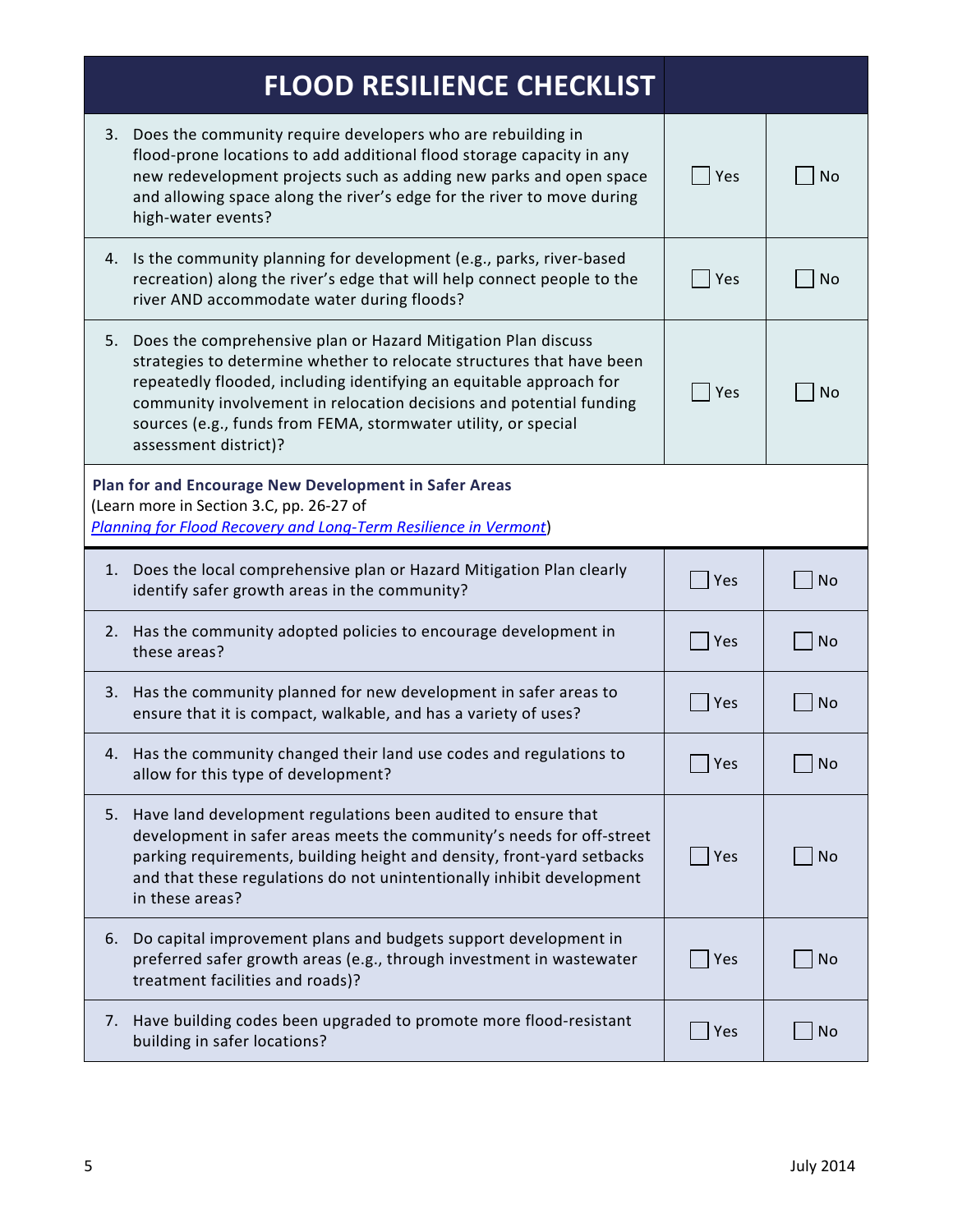|                                                                                                                                                                              | <b>FLOOD RESILIENCE CHECKLIST</b>                                                                                                                                                                                                                                                                                                                                               |     |           |
|------------------------------------------------------------------------------------------------------------------------------------------------------------------------------|---------------------------------------------------------------------------------------------------------------------------------------------------------------------------------------------------------------------------------------------------------------------------------------------------------------------------------------------------------------------------------|-----|-----------|
| 3.                                                                                                                                                                           | Does the community require developers who are rebuilding in<br>flood-prone locations to add additional flood storage capacity in any<br>new redevelopment projects such as adding new parks and open space<br>and allowing space along the river's edge for the river to move during<br>high-water events?                                                                      | Yes | <b>No</b> |
| 4.                                                                                                                                                                           | Is the community planning for development (e.g., parks, river-based<br>recreation) along the river's edge that will help connect people to the<br>river AND accommodate water during floods?                                                                                                                                                                                    | Yes | <b>No</b> |
| 5.                                                                                                                                                                           | Does the comprehensive plan or Hazard Mitigation Plan discuss<br>strategies to determine whether to relocate structures that have been<br>repeatedly flooded, including identifying an equitable approach for<br>community involvement in relocation decisions and potential funding<br>sources (e.g., funds from FEMA, stormwater utility, or special<br>assessment district)? | Yes | <b>No</b> |
| Plan for and Encourage New Development in Safer Areas<br>(Learn more in Section 3.C, pp. 26-27 of<br><b>Planning for Flood Recovery and Long-Term Resilience in Vermont)</b> |                                                                                                                                                                                                                                                                                                                                                                                 |     |           |
| 1.                                                                                                                                                                           | Does the local comprehensive plan or Hazard Mitigation Plan clearly<br>identify safer growth areas in the community?                                                                                                                                                                                                                                                            | Yes | <b>No</b> |
| 2.                                                                                                                                                                           | Has the community adopted policies to encourage development in<br>these areas?                                                                                                                                                                                                                                                                                                  | Yes | No        |
| 3.                                                                                                                                                                           | Has the community planned for new development in safer areas to<br>ensure that it is compact, walkable, and has a variety of uses?                                                                                                                                                                                                                                              | Yes | <b>No</b> |
|                                                                                                                                                                              | Has the community changed their land use codes and regulations to<br>allow for this type of development?                                                                                                                                                                                                                                                                        | Yes | <b>No</b> |
| 5.                                                                                                                                                                           | Have land development regulations been audited to ensure that<br>development in safer areas meets the community's needs for off-street<br>parking requirements, building height and density, front-yard setbacks<br>and that these regulations do not unintentionally inhibit development<br>in these areas?                                                                    | Yes | No        |
| 6.                                                                                                                                                                           | Do capital improvement plans and budgets support development in<br>preferred safer growth areas (e.g., through investment in wastewater<br>treatment facilities and roads)?                                                                                                                                                                                                     | Yes | <b>No</b> |
| 7.                                                                                                                                                                           | Have building codes been upgraded to promote more flood-resistant<br>building in safer locations?                                                                                                                                                                                                                                                                               | Yes | <b>No</b> |